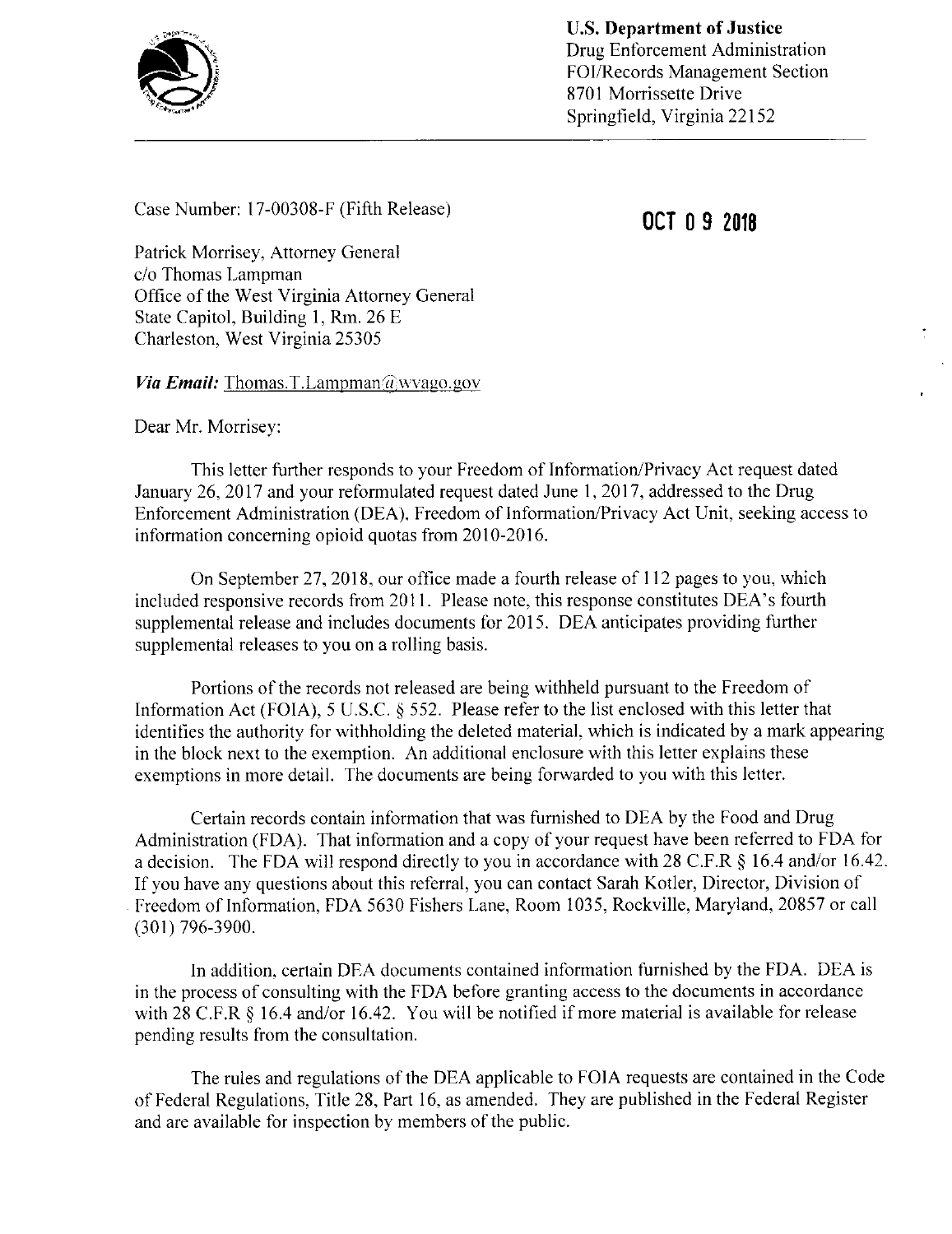

## Case Number:  $17-00308-F$  (Fifth Release) **OCT 0 9 2018**

Patrick Morrisey, Attorney General c/o Thomas Lampman Office of the West Virginia Attorney General State Capitol, Building 1, Rm. 26 E Charleston, West Virginia 25305

*Via Email:* Thomas.T.Lampman $\widehat{a}$ wvago.gov

Dear Mr. Morrisey:

This letter further responds to your Freedom of Information/Privacy Act request dated January 26, 2017 and your reformulated request dated June 1, 2017, addressed to the Drug Enforcement Administration (DEA). Freedom of Information/Privacy Act Unit, seeking access to information concerning opioid quotas from 2010-2016.

On September 27, 2018, our office made a fourth release of <sup>1</sup> 12 pages to you, which included responsive records from 2011. Please note, this response constitutes DEA's fourth supplemental release and includes documents for 2015. DEA anticipates providing further supplemental releases to you on a rolling basis.

Portions of the records not released are being withheld pursuant to the Freedom of Information Act (FOIA), <sup>5</sup> U.S.C. § 552. Please refer to the list enclosed with this letter that identifies the authority for withholding the deleted material, which is indicated by a mark appearing in the block next to the exemption. An additional enclosure with this letter explains these exemptions in more detail. The documents are being forwarded to you with this letter.

Certain records contain information that was furnished to DEA by the Food and Drug Administration (FDA). That information and a copy of your request have been referred to FDA for <sup>a</sup> decision. The FDA will respond directly to you in accordance with 28 C.F.R § 16.4 and/or 16.42. If you have any questions about this referral, you can contact Sarah Kotler, Director, Division of Freedom of Information, FDA 5630 Fishers Lane, Room 1035, Rockville, Maryland, 20857 or call (301) 796-3900.

In addition, certain DEA documents contained information furnished by the FDA. DEA is in the process of consulting with the FDA before granting access to the documents in accordance with <sup>28</sup> C.F.R § 16.4 and/or 16.42. You will be notified if more material is available for release pending results from the consultation.

The rules and regulations of the DEA applicable to FOIA requests are contained in the Code of Federal Regulations, Title 28, Part 16, as amended. They are published in the Federal Register and are available for inspection by members of the public.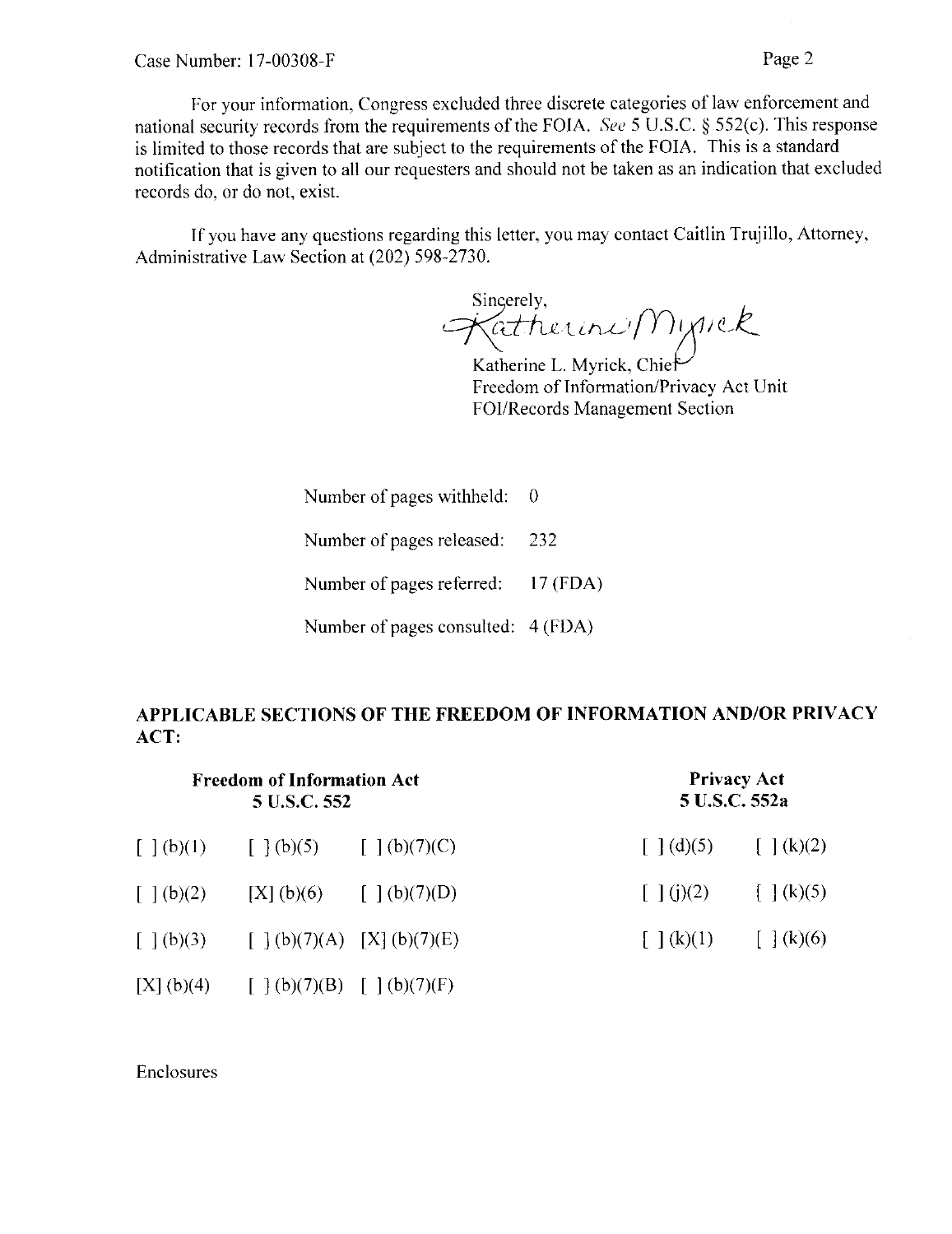For your information, Congress excluded three discrete categories of law enforcement and national security records from the requirements of the FOIA. See <sup>5</sup> U.S.C. § 552(c). This response is limited to those records that are subject to the requirements of the FOIA. This is a standard notification that is given to all our requesters and should not be taken as an indication that excluded records do, or do not, exist.

If you have any questions regarding this letter, you may contact Caitlin Trujillo, Attorney, Administrative Law Section at (202) 598-2730.

Sincerely, gerely,<br>atherini/Mynek

Katherine L. Myrick, Chie Freedom of Information/Privacy Act Unit FOI/Records Management Section

Number of pages withheld: 0

Number of pages released: 232

Number of pages referred: 17 (FDA)

Number of pages consulted: 4 (FDA)

## APPLICABLE SECTIONS OF THE FREEDOM OF INFORMATION AND/OR PRIVACY ACT:

| <b>Freedom of Information Act</b><br>5 U.S.C. 552 |                                                                                                                    |                            | <b>Privacy Act</b><br>5 U.S.C. 552a                |                                                                 |
|---------------------------------------------------|--------------------------------------------------------------------------------------------------------------------|----------------------------|----------------------------------------------------|-----------------------------------------------------------------|
| $\lceil \,\,\rceil$ (b)(1)                        | $\left[ \begin{array}{cc} 1 \end{array} (b)(5) \right] = \left[ \begin{array}{cc} 1 \end{array} (b)(7)(C) \right]$ |                            |                                                    | $\lceil \cdot   \cdot d \rceil$ $\lceil \cdot   \cdot k \rceil$ |
| $\lceil \ \rceil$ (b)(2)                          |                                                                                                                    | [X] (b)(6) $[ ] (b)(7)(D)$ | $\lceil (j)(2) \rceil$                             | $\left[\begin{array}{c} \end{array}\right]$ (k)(5)              |
| $\lceil \ \rceil$ (b)(3)                          | $\left[ \begin{array}{cc} 1 \end{array} (b)(7)(A) \quad [X] (b)(7)(E) \right]$                                     |                            | $\left[\begin{array}{c} \end{array}\right]$ (k)(1) | $\lceil \cdot \rceil$ (k)(6)                                    |
| [X](b)(4)                                         | [ ] (b)(7)(B) [ ] (b)(7)(F)                                                                                        |                            |                                                    |                                                                 |

Enclosures